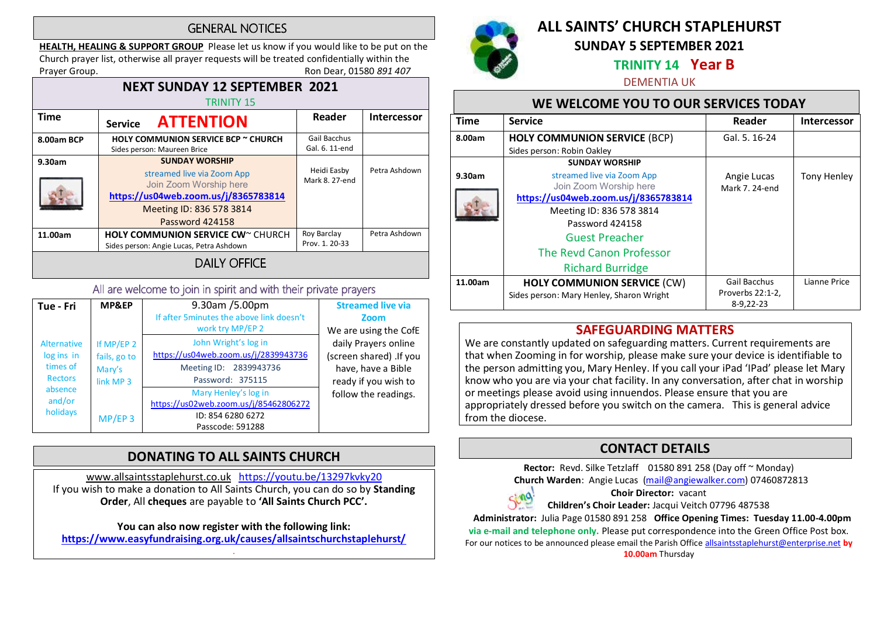#### **GENERAL NOTICES**

HEALTH, HEALING & SUPPORT GROUP Please let us know if you would like to be put on the Church prayer list, otherwise all prayer requests will be treated confidentially within the Prayer Group. **Roup.** Ron Dear, 01580 891 407

#### NEXT SUNDAY 12 SEPTEMBER 2021 TRINITY 15 Time Service **ATTENTION** Reader Intercessor 8.00am BCP | HOLY COMMUNION SERVICE BCP ~ CHURCH Gail Bacchus Gal. 6. 11-end Sides person: Maureen Brice 9.30am SUNDAY WORSHIP Heidi Easby Petra Ashdown streamed live via Zoom App Mark 8. 27-end Join Zoom Worship here https://us04web.zoom.us/j/8365783814 Meeting ID: 836 578 3814 Password 424158 11.00am | HOLY COMMUNION SERVICE CW~ CHURCH Roy Barclay Petra Ashdown Prov. 1. 20-33 Sides person: Angie Lucas, Petra Ashdown DAILY OFFICE

#### All are welcome to join in spirit and with their private prayers

| Tue - Fri                                                                                       | MP&EP                                                          | 9.30am /5.00pm<br>If after 5 minutes the above link doesn't<br>work try MP/EP 2                            | <b>Streamed live via</b><br>Zoom<br>We are using the CofE                                     |
|-------------------------------------------------------------------------------------------------|----------------------------------------------------------------|------------------------------------------------------------------------------------------------------------|-----------------------------------------------------------------------------------------------|
| <b>Alternative</b><br>log ins in<br>times of<br><b>Rectors</b><br>absence<br>and/or<br>holidays | If MP/EP 2<br>fails, go to<br>Mary's<br>link MP 3<br>$MP/EP$ 3 | John Wright's log in<br>https://us04web.zoom.us/j/2839943736<br>Meeting ID: 2839943736<br>Password: 375115 | daily Prayers online<br>(screen shared) .If you<br>have, have a Bible<br>ready if you wish to |
|                                                                                                 |                                                                | Mary Henley's log in<br>https://us02web.zoom.us/j/85462806272<br>ID: 854 6280 6272<br>Passcode: 591288     | follow the readings.                                                                          |

#### DONATING TO ALL SAINTS CHURCH

www.allsaintsstaplehurst.co.uk https://youtu.be/13297kvky20 If you wish to make a donation to All Saints Church, you can do so by Standing Order, All cheques are payable to 'All Saints Church PCC'.

You can also now register with the following link: https://www.easyfundraising.org.uk/causes/allsaintschurchstaplehurst/

.



## ALL SAINTS' CHURCH STAPLEHURST SUNDAY 5 SEPTEMBER 2021

#### TRINITY 14 Year B

#### DEMENTIA UK

#### WE WELCOME YOU TO OUR SERVICES TODAY

| Time    | <b>Service</b>                           | Reader           | <b>Intercessor</b> |
|---------|------------------------------------------|------------------|--------------------|
| 8.00am  | <b>HOLY COMMUNION SERVICE (BCP)</b>      | Gal. 5, 16-24    |                    |
|         | Sides person: Robin Oakley               |                  |                    |
|         | <b>SUNDAY WORSHIP</b>                    |                  |                    |
| 9.30am  | streamed live via Zoom App               | Angie Lucas      | <b>Tony Henley</b> |
|         | Join Zoom Worship here                   | Mark 7, 24-end   |                    |
|         | https://us04web.zoom.us/j/8365783814     |                  |                    |
|         | Meeting ID: 836 578 3814                 |                  |                    |
|         | Password 424158                          |                  |                    |
|         | <b>Guest Preacher</b>                    |                  |                    |
|         | The Revd Canon Professor                 |                  |                    |
|         | <b>Richard Burridge</b>                  |                  |                    |
| 11.00am | <b>HOLY COMMUNION SERVICE (CW)</b>       | Gail Bacchus     | Lianne Price       |
|         | Sides person: Mary Henley, Sharon Wright | Proverbs 22:1-2, |                    |
|         |                                          | $8-9,22-23$      |                    |

#### SAFEGUARDING MATTERS

We are constantly updated on safeguarding matters. Current requirements are that when Zooming in for worship, please make sure your device is identifiable to the person admitting you, Mary Henley. If you call your iPad 'IPad' please let Mary know who you are via your chat facility. In any conversation, after chat in worship or meetings please avoid using innuendos. Please ensure that you are appropriately dressed before you switch on the camera. This is general advice from the diocese.

#### CONTACT DETAILS

Rector: Revd. Silke Tetzlaff 01580 891 258 (Day off ~ Monday) Church Warden: Angie Lucas (mail@angiewalker.com) 07460872813



Choir Director: vacant Children's Choir Leader: Jacqui Veitch 07796 487538

 Administrator: Julia Page 01580 891 258 Office Opening Times: Tuesday 11.00-4.00pm via e-mail and telephone only. Please put correspondence into the Green Office Post box. For our notices to be announced please email the Parish Office allsaintsstaplehurst@enterprise.net by 10.00am Thursday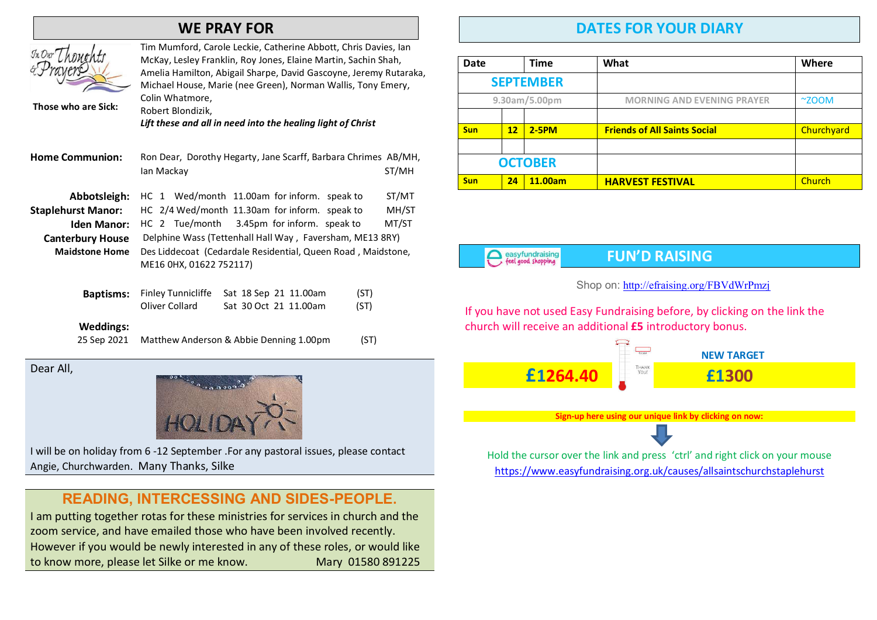### WE PRAY FOR



Those who are Sick:

Tim Mumford, Carole Leckie, Catherine Abbott, Chris Davies, Ian McKay, Lesley Franklin, Roy Jones, Elaine Martin, Sachin Shah, Amelia Hamilton, Abigail Sharpe, David Gascoyne, Jeremy Rutaraka, Michael House, Marie (nee Green), Norman Wallis, Tony Emery, Colin Whatmore, Robert Blondizik,

Lift these and all in need into the healing light of Christ

| <b>Home Communion:</b>    | Ron Dear, Dorothy Hegarty, Jane Scarff, Barbara Chrimes AB/MH, |       |  |
|---------------------------|----------------------------------------------------------------|-------|--|
|                           | lan Mackay                                                     | ST/MH |  |
| Abbotsleigh:              | HC 1 Wed/month 11.00am for inform. speak to                    | ST/MT |  |
| <b>Staplehurst Manor:</b> | HC 2/4 Wed/month 11.30am for inform. speak to                  | MH/ST |  |
| <b>Iden Manor:</b>        | HC 2 Tue/month 3.45pm for inform. speak to                     | MT/ST |  |
| <b>Canterbury House</b>   | Delphine Wass (Tettenhall Hall Way, Faversham, ME13 8RY)       |       |  |
| <b>Maidstone Home</b>     | Des Liddecoat (Cedardale Residential, Queen Road, Maidstone,   |       |  |
|                           | ME16 0HX, 01622 752117)                                        |       |  |
|                           |                                                                |       |  |

|                | <b>Baptisms:</b> Finley Tunnicliffe Sat 18 Sep 21 11.00am | (ST) |
|----------------|-----------------------------------------------------------|------|
| Oliver Collard | Sat 30 Oct 21 11.00am                                     | (ST) |

#### Weddings:

25 Sep 2021 Matthew Anderson & Abbie Denning 1.00pm (ST)

Dear All,



I will be on holiday from 6 -12 September .For any pastoral issues, please contact Angie, Churchwarden. Many Thanks, Silke

#### **READING, INTERCESSING AND SIDES-PEOPLE**.

I am putting together rotas for these ministries for services in church and the zoom service, and have emailed those who have been involved recently. However if you would be newly interested in any of these roles, or would like to know more, please let Silke or me know. Mary 01580 891225

## DATES FOR YOUR DIARY

| Date             |    | <b>Time</b> | What                                | <b>Where</b>   |
|------------------|----|-------------|-------------------------------------|----------------|
| <b>SEPTEMBER</b> |    |             |                                     |                |
| 9.30am/5.00pm    |    |             | <b>MORNING AND EVENING PRAYER</b>   | $^{\sim}$ ZOOM |
|                  |    |             |                                     |                |
| <b>Sun</b>       | 12 | $2-5PM$     | <b>Friends of All Saints Social</b> | Churchyard     |
|                  |    |             |                                     |                |
| <b>OCTOBER</b>   |    |             |                                     |                |
| <b>Sun</b>       | 24 | 11.00am     | <b>HARVEST FESTIVAL</b>             | Church         |

easyfundraising<br>Feel good shopping

#### FUN'D RAISING

#### Shop on: http://efraising.org/FBVdWrPmzj

If you have not used Easy Fundraising before, by clicking on the link the church will receive an additional £5 introductory bonus.

 NEW TARGET £1264.40 £1300

Sign-up here using our unique link by clicking on now:



Hold the cursor over the link and press 'ctrl' and right click on your mouse https://www.easyfundraising.org.uk/causes/allsaintschurchstaplehurst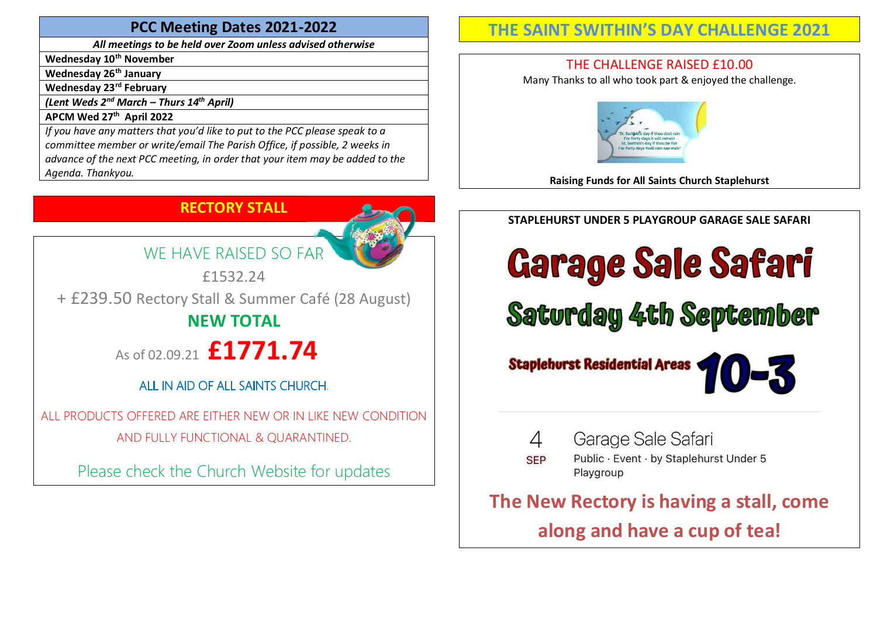#### PCC Meeting Dates 2021-2022

All meetings to be held over Zoom unless advised otherwise

Wednesday 10<sup>th</sup> November

Wednesday 26<sup>th</sup> January

Wednesday 23<sup>rd</sup> February

(Lent Weds  $2^{nd}$  March – Thurs  $14^{th}$  April)

APCM Wed 27<sup>th</sup> April 2022

If you have any matters that you'd like to put to the PCC please speak to a committee member or write/email The Parish Office, if possible, 2 weeks in advance of the next PCC meeting, in order that your item may be added to the Agenda. Thankyou.

## RECTORY STALL



£1532.24

+ £239.50 Rectory Stall & Summer Café (28 August) NEW TOTAL

As of 02.09.21  $£1771.74$ 

## ALL IN AID OF ALL SAINTS CHURCH

ALL PRODUCTS OFFERED ARE EITHER NEW OR IN LIKE NEW CONDITION AND FULLY FUNCTIONAL & QUARANTINED.

Please check the Church Website for updates

## THE SAINT SWITHIN'S DAY CHALLENGE 2021

## THE CHALLENGE RAISED £10.00

Many Thanks to all who took part & enjoyed the challenge.



Raising Funds for All Saints Church Staplehurst

## STAPLEHURST UNDER 5 PLAYGROUP GARAGE SALE SAFARI

# **Garage Sale Safari**

**Saturday 4th September** 





Public · Event · by Staplehurst Under 5 **SEP** Playgroup

The New Rectory is having a stall, come along and have a cup of tea!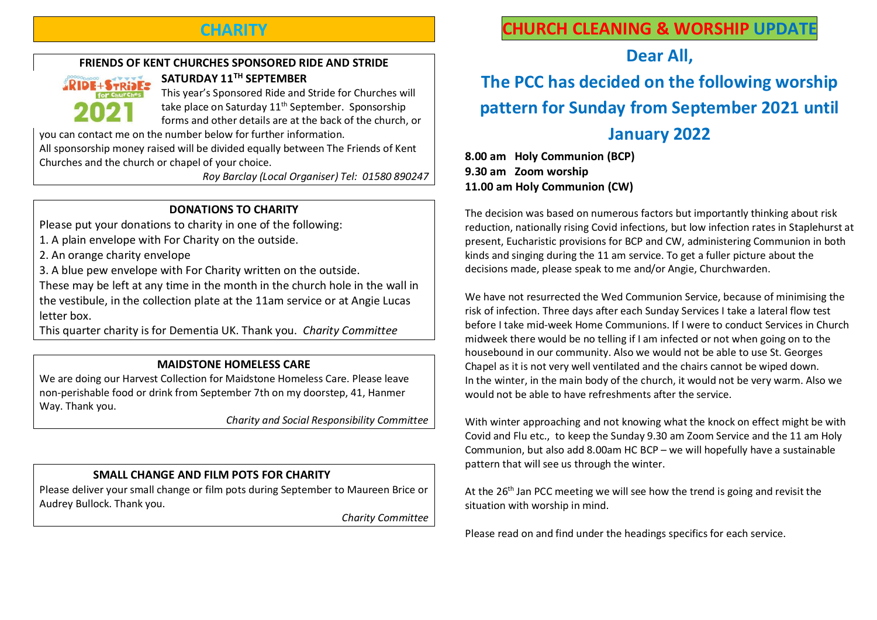## **CHARITY**

#### FRIENDS OF KENT CHURCHES SPONSORED RIDE AND STRIDE



SATURDAY 11TH SEPTEMBER This year's Sponsored Ride and Stride for Churches will take place on Saturday 11<sup>th</sup> September. Sponsorship forms and other details are at the back of the church, or

you can contact me on the number below for further information.

All sponsorship money raised will be divided equally between The Friends of Kent Churches and the church or chapel of your choice.

Roy Barclay (Local Organiser) Tel: 01580 890247

#### DONATIONS TO CHARITY

Please put your donations to charity in one of the following:

- 1. A plain envelope with For Charity on the outside.
- 2. An orange charity envelope
- 3. A blue pew envelope with For Charity written on the outside.

These may be left at any time in the month in the church hole in the wall in the vestibule, in the collection plate at the 11am service or at Angie Lucas letter box.

This quarter charity is for Dementia UK. Thank you. Charity Committee

#### MAIDSTONE HOMELESS CARE

We are doing our Harvest Collection for Maidstone Homeless Care. Please leave non-perishable food or drink from September 7th on my doorstep, 41, Hanmer Way. Thank you.

Charity and Social Responsibility Committee

#### SMALL CHANGE AND FILM POTS FOR CHARITY

Please deliver your small change or film pots during September to Maureen Brice or Audrey Bullock. Thank you.

Charity Committee

## CHURCH CLEANING & WORSHIP UPDATE

Dear All,

## The PCC has decided on the following worship pattern for Sunday from September 2021 until January 2022

8.00 am Holy Communion (BCP) 9.30 am Zoom worship 11.00 am Holy Communion (CW)

The decision was based on numerous factors but importantly thinking about risk reduction, nationally rising Covid infections, but low infection rates in Staplehurst at present, Eucharistic provisions for BCP and CW, administering Communion in both kinds and singing during the 11 am service. To get a fuller picture about the decisions made, please speak to me and/or Angie, Churchwarden.

We have not resurrected the Wed Communion Service, because of minimising the risk of infection. Three days after each Sunday Services I take a lateral flow test before I take mid-week Home Communions. If I were to conduct Services in Church midweek there would be no telling if I am infected or not when going on to the housebound in our community. Also we would not be able to use St. Georges Chapel as it is not very well ventilated and the chairs cannot be wiped down. In the winter, in the main body of the church, it would not be very warm. Also we would not be able to have refreshments after the service.

With winter approaching and not knowing what the knock on effect might be with Covid and Flu etc., to keep the Sunday 9.30 am Zoom Service and the 11 am Holy Communion, but also add 8.00am HC BCP – we will hopefully have a sustainable pattern that will see us through the winter.

At the 26<sup>th</sup> Jan PCC meeting we will see how the trend is going and revisit the situation with worship in mind.

Please read on and find under the headings specifics for each service.